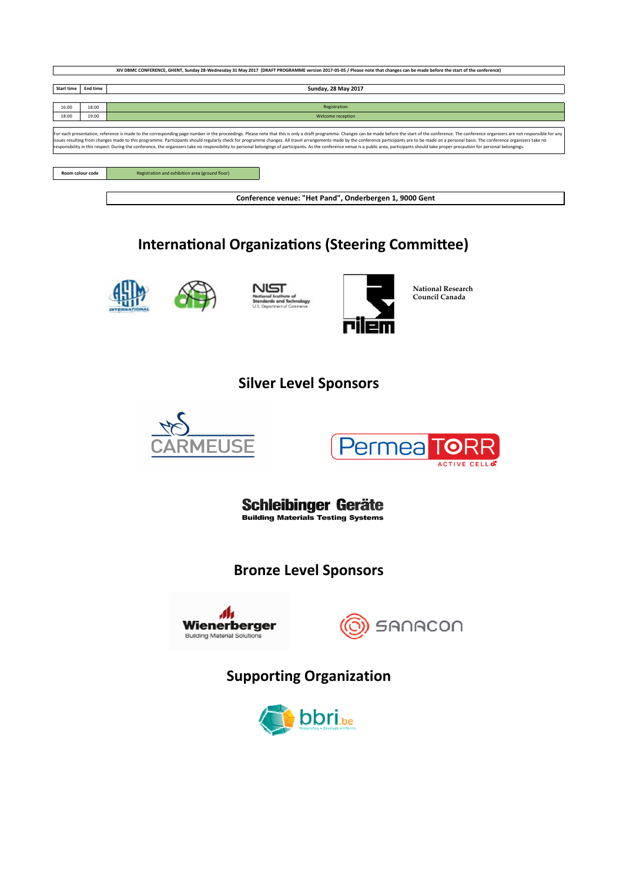| XIV DBMC CONFERENCE, GHENT, Sunday 28-Wednesday 31 May 2017 (DRAFT PROGRAMME version 2017-05-05 / Please note that changes can be made before the start of the conference) |                                                        |                                                                                                                                                                                                                                                                                                                                                                                                                                                                  |  |  |  |
|----------------------------------------------------------------------------------------------------------------------------------------------------------------------------|--------------------------------------------------------|------------------------------------------------------------------------------------------------------------------------------------------------------------------------------------------------------------------------------------------------------------------------------------------------------------------------------------------------------------------------------------------------------------------------------------------------------------------|--|--|--|
|                                                                                                                                                                            |                                                        |                                                                                                                                                                                                                                                                                                                                                                                                                                                                  |  |  |  |
| <b>Start time</b>                                                                                                                                                          | End time                                               | Sunday, 28 May 2017                                                                                                                                                                                                                                                                                                                                                                                                                                              |  |  |  |
|                                                                                                                                                                            |                                                        |                                                                                                                                                                                                                                                                                                                                                                                                                                                                  |  |  |  |
| 16:00                                                                                                                                                                      | 18:00                                                  | Registration                                                                                                                                                                                                                                                                                                                                                                                                                                                     |  |  |  |
| 18:00                                                                                                                                                                      | 19:00                                                  | Welcome reception                                                                                                                                                                                                                                                                                                                                                                                                                                                |  |  |  |
|                                                                                                                                                                            |                                                        |                                                                                                                                                                                                                                                                                                                                                                                                                                                                  |  |  |  |
|                                                                                                                                                                            |                                                        | For each presentation, reference is made to the corresponding page number in the proceedings. Please note that this is only a draft programma. Changes can be made before the start of the conference. The conference organize<br>issues resulting from changes made to this programme. Participants should regularly check for programme changes. All travel arrangements made by the conference participants are to be made on a personal basis. The conferenc |  |  |  |
|                                                                                                                                                                            |                                                        | responsibility in this respect. During the conference, the organizers take no responsibility to personal belongings of participants. As the conference venue is a public area, participants should take proper precaution for                                                                                                                                                                                                                                    |  |  |  |
|                                                                                                                                                                            |                                                        |                                                                                                                                                                                                                                                                                                                                                                                                                                                                  |  |  |  |
|                                                                                                                                                                            |                                                        |                                                                                                                                                                                                                                                                                                                                                                                                                                                                  |  |  |  |
| Room colour code                                                                                                                                                           |                                                        | Registration and exhibition area (ground floor)                                                                                                                                                                                                                                                                                                                                                                                                                  |  |  |  |
|                                                                                                                                                                            |                                                        |                                                                                                                                                                                                                                                                                                                                                                                                                                                                  |  |  |  |
|                                                                                                                                                                            |                                                        |                                                                                                                                                                                                                                                                                                                                                                                                                                                                  |  |  |  |
|                                                                                                                                                                            | Conference venue: "Het Pand", Onderbergen 1, 9000 Gent |                                                                                                                                                                                                                                                                                                                                                                                                                                                                  |  |  |  |

# **International Organizations (Steering Committee)**









**National Research Council Canada**

## **Silver Level Sponsors**





**Schleibinger Geräte**<br>Building Materials Testing Systems

### **Bronze Level Sponsors**





# **Supporting Organization**

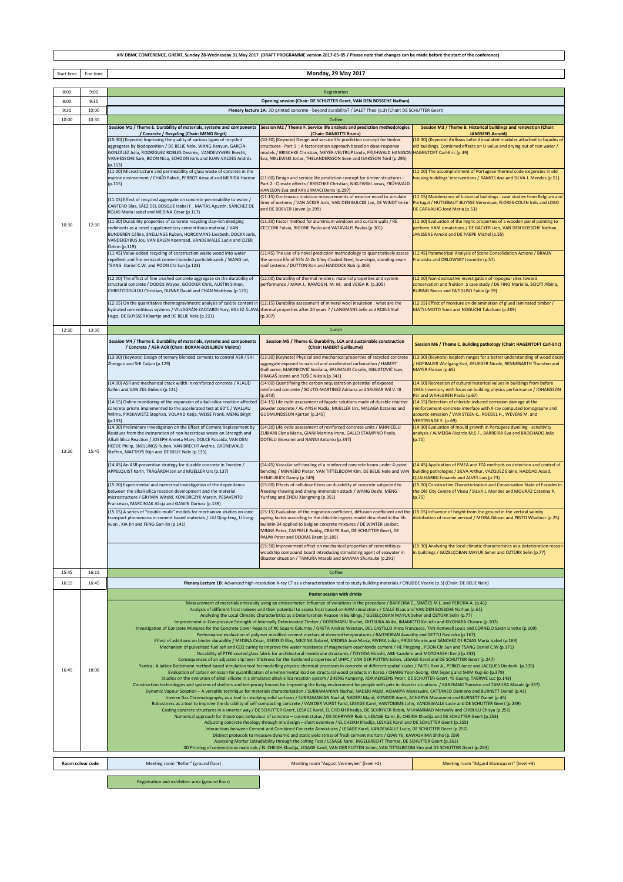| . Sunday 28-Wednesday 31 May 2017<br><b>GHENT</b><br>T PROGRAMME version 2017-05-05 /<br><b>XIV DBMC</b><br><b>ERENCE</b><br><b>IDRAF</b><br>/ Please note that<br>the s<br>+ betore<br>t of the<br>t changes can be<br>mage<br>LUNFI |
|---------------------------------------------------------------------------------------------------------------------------------------------------------------------------------------------------------------------------------------|
|                                                                                                                                                                                                                                       |

Start time End time

 $\overline{\phantom{a}}$ 

**Monday, 29 May 2017**

┓

| 8:00             | 9:00  | Registration                                                                                                                                                                                                                                                                                                                                       |                                                                                                                                                                                                                                                                                                                                                                                                                   |                                                                                                                                                                                                                                                                                                       |  |
|------------------|-------|----------------------------------------------------------------------------------------------------------------------------------------------------------------------------------------------------------------------------------------------------------------------------------------------------------------------------------------------------|-------------------------------------------------------------------------------------------------------------------------------------------------------------------------------------------------------------------------------------------------------------------------------------------------------------------------------------------------------------------------------------------------------------------|-------------------------------------------------------------------------------------------------------------------------------------------------------------------------------------------------------------------------------------------------------------------------------------------------------|--|
| 9:00             | 9:30  | Opening session (Chair: DE SCHUTTER Geert, VAN DEN BOSSCHE Nathan)                                                                                                                                                                                                                                                                                 |                                                                                                                                                                                                                                                                                                                                                                                                                   |                                                                                                                                                                                                                                                                                                       |  |
| 9:30             | 10:00 | Plenary lecture 1A: 3D printed concrete - beyond durability? / SALET Theo (p.3) (Chair: DE SCHUTTER Geert)                                                                                                                                                                                                                                         |                                                                                                                                                                                                                                                                                                                                                                                                                   |                                                                                                                                                                                                                                                                                                       |  |
| 10:00            | 10:30 |                                                                                                                                                                                                                                                                                                                                                    | Coffee                                                                                                                                                                                                                                                                                                                                                                                                            |                                                                                                                                                                                                                                                                                                       |  |
|                  |       |                                                                                                                                                                                                                                                                                                                                                    | Session M1 / Theme E. Durability of materials, systems and components Session M2 / Theme F. Service life analysis and prediction methodologies                                                                                                                                                                                                                                                                    | Session M3 / Theme B. Historical buildings and renovation (Chair:                                                                                                                                                                                                                                     |  |
|                  | 12:30 | / Concrete / Recycling (Chair: MENG Birgit)<br>(10:30) (Keynote) Improving the quality of various types of recycled<br>aggregates by biodeposition / DE BELIE Nele, WANG Jianyun, GARCÍA-<br>GONZÁLEZ Julia, RODRÍGUEZ ROBLES Desirée, VANDEVYVERE Brecht,<br>VANHESSCHE Sam, BOON Nico, SCHOON Joris and JUAN-VALDÉS Andrés<br>(p.113)            | (Chair: DANIOTTI Bruno)<br>(10:30) (Keynote) Design and service life prediction concept for timber<br>structures - Part 1 : A factorization approach based on dose-response<br>nodels / BRISCHKE Christian, MEYER-VELTRUP Linda, FRÜHWALD HANSSON<br>iva, NIKLEWSKI Jonas, THELANDERSSON Sven and ISAKSSON Tord (p.295)                                                                                           | <b>JANSSENS Arnold)</b><br>(10:30) (Keynote) Airflows behind insulated modules attached to façades of<br>old buildings. Combined effects on U-value and drying out of rain water /<br><b>HAGENTOFT Carl-Eric (p.49)</b>                                                                               |  |
|                  |       | (11:00) Microstructure and permeability of glass waste of concrete in the<br>marine environment / CHAÏD Rabah, PERROT Arnaud and MERIDA Hacène<br>(p.115)<br>(11:15) Effect of recycled aggregate on concrete permeability to water /                                                                                                              | 11:00) Design and service life prediction concept for timber structures -<br>Part 2 : Climate effects / BRISCHKE Christian, NIKLEWSKI Jonas, FRÜHWALD<br>HANSSON Eva and KAVURMACI Denis (p.297)<br>(11:15) Continuous moisture measurements of exterior wood to simulate<br>ime of wetness / VAN ACKER Joris, VAN DEN BULCKE Jan, DE WINDT Imke                                                                  | (11:00) The accomplishment of Portugese thermal code exigencies in old<br>housing buildings' interventions / RAMOS Ana and SILVA J. Mendes (p.51)<br>(11:15) Maintenance of historical buildings - case studies from Belgium and<br>Portugal / HUTSEBAUT-BUYSSE Véronique, FLORES-COLEN Inês and LOBO |  |
| 10:30            |       | CANTERO Blas, SÁEZ DEL BOSQUE Isabel F., MATÍAS Agustín, SÁNCHEZ DE<br>ROJAS María Isabel and MEDINA César (p.117)<br>(11:30) Durability properties of concrete recycling clay-rich dredging<br>sediments as a novel supplementary cementitious material / VAN                                                                                     | and DE BOEVER Lieven (p.299)<br>(11:30) Factor method for aluminium windows and curtain walls / RE<br>CECCONI Fulvio, RIGONE Paolo and VATAVALIS Pavlos (p.301)                                                                                                                                                                                                                                                   | DE CARVALHO José Maria (p.53)<br>(11:30) Evaluation of the hygric properties of a wooden panel painting to<br>perform HAM simulations / DE BACKER Lien, VAN DEN BOSSCHE Nathan,                                                                                                                       |  |
|                  |       | BUNDEREN Céline, SNELLINGS Ruben, HORCKMANS Liesbeth, DOCKX Joris,<br>VANDEKEYBUS Jos, VAN BALEN Koenraad, VANDEWALLE Lucie and CIZER<br>Özlem (p.119)<br>(11:45) Value-added recycling of construction waste wood into water                                                                                                                      | (11:45) The use of a novel prediction methodology to quantitatively assess                                                                                                                                                                                                                                                                                                                                        | JANSSENS Arnold and DE PAEPE Michel (p.55)<br>(11:45) Parametrical Analysis of Stone Consolidation Actions / BRAUN                                                                                                                                                                                    |  |
|                  |       | repellent and fire resistant cement-bonded particleboards / WANG Lei,<br>TSANG Daniel C.W. and POON Chi Sun (p.123)                                                                                                                                                                                                                                | the service life of 55% Al-Zn Alloy-Coated Steel, low-slope, standing seam<br>oof systems / DUTTON Ron and HADDOCK Rob (p.303)                                                                                                                                                                                                                                                                                    | Franziska and ORLOWSKY Jeanette (p.57)                                                                                                                                                                                                                                                                |  |
|                  |       | (12:00) The effect of fine crushed concrete aggregate on the durability of<br>structural concrete / DODDS Wayne, GOODIER Chris, AUSTIN Simon,<br>CHRISTODOULOU Christian, DUNNE David and CHAN Matthew (p.125)                                                                                                                                     | (12:00) Durability of thermal renders: material properties and system<br>performance / MAIA J., RAMOS N. M. M. and VEIGA R. (p.305)                                                                                                                                                                                                                                                                               | (12:00) Non-destructive investigation of hypogeal sites toward<br>conservation and fruition: a case study / DE FINO Mariella, SCIOTI Albina,<br>RUBINO Rocco and FATIGUSO Fabio (p.59)                                                                                                                |  |
|                  |       | (12:15) On the quantitative thermogravimetric analysis of calcite content in<br>hydrated cementitious systems / VILLAGRÁN-ZACCARDI Yury, EGUEZ ÁLAVA<br>Hugo, DE BUYSSER Klaartje and DE BELIE Nele (p.221)                                                                                                                                        | (12:15) Durability assessment of mineral wool insulation : what are the<br>thermal properties after 20 years ? / LANGMANS Jelle and ROELS Staf<br>p.307)                                                                                                                                                                                                                                                          | (12:15) Effect of moisture on delamination of glued laminated timber /<br>MATSUMOTO Yumi and NOGUCHI Takafumi (p.289)                                                                                                                                                                                 |  |
| 12:30            | 13:30 |                                                                                                                                                                                                                                                                                                                                                    | Lunch                                                                                                                                                                                                                                                                                                                                                                                                             |                                                                                                                                                                                                                                                                                                       |  |
|                  |       | Session M4 / Theme E. Durability of materials, systems and components<br>/ Concrete / ASR-ACR (Chair: BOKAN-BOSILJKOV Violeta)                                                                                                                                                                                                                     | Session M5 / Theme G. Durability, LCA and sustainable construction<br>(Chair: HABERT Guillaume)                                                                                                                                                                                                                                                                                                                   | Session M6 / Theme C. Building pathology (Chair: HAGENTOFT Carl-Eric)                                                                                                                                                                                                                                 |  |
|                  |       | (13:30) (Keynote) Design of ternary blended cements to control ASR / SHI<br>Zhenguo and SHI Caijun (p.129)                                                                                                                                                                                                                                         | 13:30) (Keynote) Physical and mechanical properties of recycled concrete<br>aggregate exposed to natural and accelerated carbonation / HABERT<br>Guillaume, MARINKOVIĆ Snežana, BRUMAUD Coralie, IGNJATOVIĆ Ivan,<br>ORAGAŠ Jelena and TOŠIĆ Nikola (p.341)                                                                                                                                                       | (13:30) (Keynote) Isopleth ranges for a better understanding of wood decay<br>HOFBAUER Wolfgang Karl, KRUEGER Nicole, RENNEBARTH Thorsten and<br><b>MAYER Florian (p.65)</b>                                                                                                                          |  |
|                  |       | (14:00) ASR and mechanical crack width in reinforced concrete / ALAUD<br>Salhin and VAN ZIJL Gideon (p.131)                                                                                                                                                                                                                                        | 14:00) Quantifiying the carbon sequestration potential of exposed<br>einforced concrete / SOUTO-MARTINEZ Adriana and SRUBAR Wil V. III<br>p.343)                                                                                                                                                                                                                                                                  | (14:00) Recreation of cultural historical values in buildings from before<br>1945: Inventory with focus on building physics performance / JOHANSSON<br>Pär and WAHLGREN Paula (p.67)                                                                                                                  |  |
| 13:30            | 15:45 | (14:15) Online monitoring of the expansion of alkali-silica reaction affected<br>concrete prisms implemented to the accelerated test at 60°C / WALLAU<br>Wilma, PIRSKAWETZ Stephan, VOLAND Katja, WEISE Frank, MENG Birgit<br>(p.133)                                                                                                              | (14:15) Life cycle assessment of façade solutions made of durable reactive<br>oowder concrete / AL-AYISH Nadia, MUELLER Urs, MALAGA Katarina and<br>GUDMUNDSSON Kjartan (p.345)                                                                                                                                                                                                                                   | (14:15) Detection of chloride-induced corrosion damage at the<br>reinforcement-concrete interface with X-ray computed tomography and<br>acoustic emission / VAN STEEN C., ROEDEL H., WEVERS M. and<br><b>VERSTRYNGE E. (p.69)</b>                                                                     |  |
|                  |       | (14:30) Preliminary Investigation on the Effect of Cement Replacement by<br>Residues from the incineration of non-hazardous waste on Strength and<br>Alkali Silica Reaction / JOSEPH Aneeta Mary, DOLCE Rosaida, VAN DEN<br>HEEDE Philip, SNELLINGS Ruben, VAN BRECHT Andres, GRÜNEWALD<br>Steffen, MATTHYS Stijn and DE BELIE Nele (p.135)        | (14:30) Life cycle assessment of reinforced concrete units / IANNICELLI<br>ZUBIANI Elena Maria, GIANI Martina Irene, GALLO STAMPINO Paola,<br>DOTELLI Giovanni and NANNI Antonio (p.347)                                                                                                                                                                                                                          | (14:30) Evaluation of mould growth in Portugese dwelling - sensitivity<br>analysis / ALMEIDA Ricardo M.S.F., BARREIRA Eva and BROCHADO João<br>(p.71)                                                                                                                                                 |  |
|                  |       | (14:45) An ASR-preventive strategy for durable concrete in Sweden /<br>APPELQUIST Karin, TRÄGÅRDH Jan and MUELLER Urs (p.137)                                                                                                                                                                                                                      | (14:45) Vascular self-healing of a reinforced concrete beam under 4-point<br>bending / MINNEBO Pieter, VAN TITTELBOOM Kim, DE BELIE Nele and VAN<br><b>HEMELRIJCK Danny (p.349)</b>                                                                                                                                                                                                                               | (14:45) Application of FMEA and FTA methods on detection and control of<br>building pathologies / SILVA Arthur, VAZQUEZ Elaine, HADDAD Assed,<br>QUALHARINI Eduardo and ALVES Lais (p.73)                                                                                                             |  |
|                  |       | (15:00) Experimental and numerical investigation of the dependence<br>between the alkali-silica reaction development and the material<br>microstructure / GRYMIN Witold, KONIORCZYK Marcin, PESAVENTO<br>Francesco, MARCINIAK Alicja and GAWIN Dariusz (p.139)                                                                                     | (15:00) Effects of cellulose fibers on durability of concrete subjected to<br>reezing-thawing and drying-immersion attack / WANG Dezhi, MENG<br>Yunfang and ZHOU Xiangming (p.351)                                                                                                                                                                                                                                | (15:00) Constructive Characterization and Conservation State of Facades in<br>the Old City Centre of Viseu / SILVA J. Mendes and MOURAZ Catarina P.<br>(p.75)                                                                                                                                         |  |
|                  |       | (15:15) A series of "double-multi" models for mechanism studies on ionic<br>transport phenomena in cement based materials / LIU Qing-feng, LI Long-<br>yuan, XIA Jin and FENG Gan-lin (p.141)                                                                                                                                                      | 15:15) Evaluation of the migration coefficient, diffusion coefficient and the (15:15) Influence of height from the ground in the vertical salinity<br>ageing factor according to the chloride ingress model described in the fib<br>pulletin 34 applied to Belgian concrete mixtures / DE WINTER Liesbet,<br>MINNE Peter, CASPEELE Robby, CRAEYE Bart, DE SCHUTTER Geert, DE<br>PAUW Peter and DOOMS Bram (p.185) | distribution of marine aerosol / MEIRA Gibson and PINTO Wladimir (p.25)                                                                                                                                                                                                                               |  |
|                  |       |                                                                                                                                                                                                                                                                                                                                                    | [15:30] Improvement effect on mechanical properties of cementitious-<br>woodship compound board introducing stimulating agent of seawater in<br>disaster situation / TAMURA Masaki and SAYAMA Shunsuke (p.291)                                                                                                                                                                                                    | (15:30) Analyzing the local climatic characteristics as a deterioration reason<br>in buildings / GÜZELÇOBAN MAYUK Seher and ÖZTÜRK Selin (p.77)                                                                                                                                                       |  |
| 15:45            | 16:15 |                                                                                                                                                                                                                                                                                                                                                    | Coffee                                                                                                                                                                                                                                                                                                                                                                                                            |                                                                                                                                                                                                                                                                                                       |  |
| 16:15            | 16:45 |                                                                                                                                                                                                                                                                                                                                                    | Plenary Lecture 1B: Advanced high-resolution X-ray CT as a characterization tool to study building materials / CNUDDE Veerle (p.5) (Chair: DE BELIE Nele)                                                                                                                                                                                                                                                         |                                                                                                                                                                                                                                                                                                       |  |
|                  |       |                                                                                                                                                                                                                                                                                                                                                    | <b>Poster session with drinks</b>                                                                                                                                                                                                                                                                                                                                                                                 |                                                                                                                                                                                                                                                                                                       |  |
|                  |       |                                                                                                                                                                                                                                                                                                                                                    | Measurement of materials emissivity using an emissometer: Influence of variations in the procedure / BARREIRA E., SIMÕES M.L. and PEREIRA A. (p.41)                                                                                                                                                                                                                                                               |                                                                                                                                                                                                                                                                                                       |  |
|                  |       |                                                                                                                                                                                                                                                                                                                                                    | Analysis of different frost indexes and their potential to assess frost based on HAM simulations / CALLE Klaas and VAN DEN BOSSCHE Nathan (p.61)                                                                                                                                                                                                                                                                  |                                                                                                                                                                                                                                                                                                       |  |
|                  | 18:00 |                                                                                                                                                                                                                                                                                                                                                    | Analyzing the Local Climatic Characteristics as a Deterioration Reason in Buildings / GÜZELÇOBAN MAYUK Seher and ÖZTÜRK Selin (p.77)<br>Improvement in Compressive Strength of Internally Deteriorated Timber / GOROMARU Shuhei, OHTSUKA Akiko, IMAMOTO Kei-ichi and KIYOHARA Chizuru (p.107)                                                                                                                     |                                                                                                                                                                                                                                                                                                       |  |
|                  |       |                                                                                                                                                                                                                                                                                                                                                    | Investigation of Concrete Mixtures for the Concrete Cover Repairs of RC Square Columns / ORETA Andres Winston, DEL CASTILLO Anna Francesca, TAN Romwell Louis and CORNEJO Sarah Linette (p.109)                                                                                                                                                                                                                   |                                                                                                                                                                                                                                                                                                       |  |
| 16:45            |       |                                                                                                                                                                                                                                                                                                                                                    | Performance evaluation of polymer modified cement mortars at elevated temperatures / RAJENDRAN Aswathy and GETTU Ravindra (p.167)<br>Effect of additions on binder durability / MEDINA César, ASENSIO Eloy, MEDINA Gabriel, MEDINA José María, RIVERA Julián, FRÍAS Moisés and SÁNCHEZ DE ROJAS María Isabel (p.169)                                                                                              |                                                                                                                                                                                                                                                                                                       |  |
|                  |       |                                                                                                                                                                                                                                                                                                                                                    | Mechanism of pulverized fuel ash and CO2 curing to improve the water resistance of magnesium oxychloride cement / HE Pingping, POON Chi Sun and TSANG Daniel C.W (p.171)                                                                                                                                                                                                                                          |                                                                                                                                                                                                                                                                                                       |  |
|                  |       |                                                                                                                                                                                                                                                                                                                                                    | Durability of PTFE-coated glass fabric for architectural membrane structures / TOYODA Hiroshi, ABE Kazuhiro and MOTOHASHI Kenji (p.333)<br>Consequences of an adjusted slip layer thickness for the hardened properties of UHPC / VAN DER PUTTEN Jolien, LESAGE Karel and DE SCHUTTER Geert (p.247)                                                                                                               |                                                                                                                                                                                                                                                                                                       |  |
|                  |       |                                                                                                                                                                                                                                                                                                                                                    | Yantra: A lattice Boltzmann method based simulation tool for modelling physico-chemical processes in concrete at different spatial scales / PATEL Ravi A., PERKO Janez and JACQUES Diederik (p.335)                                                                                                                                                                                                               |                                                                                                                                                                                                                                                                                                       |  |
|                  |       | Evaluation of carbon emission for quantification of environmental load on structural wood products in Korea / CHANG Yoon-Seong, KIM Sejong and SHIM Kug-Bo (p.379)<br>Studies on the evolution of alkali silicate in a simulated alkali-silica reaction system / ZHENG Kunpeng, ADRIAENSENS Peter, DE SCHUTTER Geert, YE Guang, TAERWE Luc (p.143) |                                                                                                                                                                                                                                                                                                                                                                                                                   |                                                                                                                                                                                                                                                                                                       |  |
|                  |       |                                                                                                                                                                                                                                                                                                                                                    | Construction technologies and systems of shelters and temporary houses for improving the living environment for people with pets in disaster situations / KANEMAKI Tomoko and TAMURA Masaki (p.337)                                                                                                                                                                                                               |                                                                                                                                                                                                                                                                                                       |  |
|                  |       |                                                                                                                                                                                                                                                                                                                                                    | Dynamic Vapour Sorption - A versatile technique for materials characterization / SUBRAMANIAN Nachal, NADERI Majid, ACHARYA Manaswini, CATTANEO Damiano and BURNETT Daniel (p.43)<br>Inverse Gas Chromatography as a tool for studying solid surfaces / SUBRAMANIAN Nachal, NADERI Majid, KONDOR Anett, ACHARYA Manaswini and BURNETT Daniel (p.45)                                                                |                                                                                                                                                                                                                                                                                                       |  |
|                  |       |                                                                                                                                                                                                                                                                                                                                                    | Robustness as a tool to improve the durability of self-compacting concrete / VAN DER VURST Farid, LESAGE Karel, VANTOMME John, VANDEWALLE Lucie and DE SCHUTTER Geert (p.249)<br>Casting concrete structures in a smarter way / DE SCHUTTER Geert, LESAGE Karel, EL CHEIKH Khadija, DE SCHRYVER Robin, MUHAMMAD Metwally and CHIBULU Chizya (p.251)                                                               |                                                                                                                                                                                                                                                                                                       |  |
|                  |       |                                                                                                                                                                                                                                                                                                                                                    | Numerical approach for thixotropic behaviour of concrete - current status / DE SCHRYVER Robin, LESAGE Karel, EL CHEIKH Khadija and DE SCHUTTER Geert (p.253)                                                                                                                                                                                                                                                      |                                                                                                                                                                                                                                                                                                       |  |
|                  |       |                                                                                                                                                                                                                                                                                                                                                    | Adjusting concrete rheology through mix design - short overview / EL CHEIKH Khadija, LESAGE Karel and DE SCHUTTER Geert (p.255)<br>Interactions between Cement and Combined Concrete Admixtures / LESAGE Karel, VANDEWALLE Lucie, DE SCHUTTER Geert (p.257)                                                                                                                                                       |                                                                                                                                                                                                                                                                                                       |  |
|                  |       |                                                                                                                                                                                                                                                                                                                                                    | Distinct protocols to measure dynamic and static yield stress of fresh cement mortars / QIAN Ye, KAWASHIMA Shiho (p.259)                                                                                                                                                                                                                                                                                          |                                                                                                                                                                                                                                                                                                       |  |
|                  |       |                                                                                                                                                                                                                                                                                                                                                    | Assessing Mortar Extrudability through the Jolting Test / LESAGE Karel, INGELBRECHT Thomas, DE SCHUTTER Geert (p.261)<br>3D Printing of cementitious materials / EL CHEIKH Khadija, LESAGE Karel, VAN DER PUTTEN Jolien, VAN TITTELBOOM Kim and DE SCHUTTER Geert (p.263)                                                                                                                                         |                                                                                                                                                                                                                                                                                                       |  |
|                  |       |                                                                                                                                                                                                                                                                                                                                                    |                                                                                                                                                                                                                                                                                                                                                                                                                   |                                                                                                                                                                                                                                                                                                       |  |
| Room colour code |       | Meeting room "Refter" (ground floor)                                                                                                                                                                                                                                                                                                               | Meeting room "August Vermeylen" (level +2)                                                                                                                                                                                                                                                                                                                                                                        | Meeting room "Edgard Blancquaert" (level +3)                                                                                                                                                                                                                                                          |  |
|                  |       |                                                                                                                                                                                                                                                                                                                                                    |                                                                                                                                                                                                                                                                                                                                                                                                                   |                                                                                                                                                                                                                                                                                                       |  |

**Registration and exhibition area (ground floor)**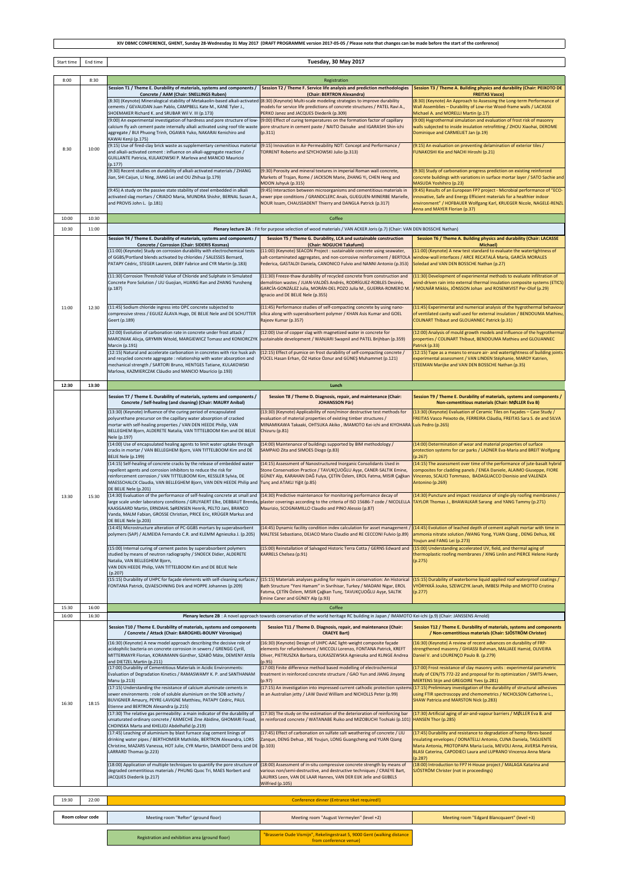|            | XIV DBMC CONFERENCE, GHENT, Sunday 28-Wednesday 31 May 2017 (DRAFT PROGRAMME version 2017-05-05 / Please note that changes can be made before the start of the conference) |                                                                                                                                                         |                                                                                                                                                                                                                |                                                                                                                                                         |  |
|------------|----------------------------------------------------------------------------------------------------------------------------------------------------------------------------|---------------------------------------------------------------------------------------------------------------------------------------------------------|----------------------------------------------------------------------------------------------------------------------------------------------------------------------------------------------------------------|---------------------------------------------------------------------------------------------------------------------------------------------------------|--|
| Start time | End time                                                                                                                                                                   |                                                                                                                                                         |                                                                                                                                                                                                                |                                                                                                                                                         |  |
|            |                                                                                                                                                                            | Tuesday, 30 May 2017                                                                                                                                    |                                                                                                                                                                                                                |                                                                                                                                                         |  |
| 8:00       | 8:30                                                                                                                                                                       |                                                                                                                                                         | Registration                                                                                                                                                                                                   |                                                                                                                                                         |  |
|            |                                                                                                                                                                            | Session T1 / Theme E. Durability of materials, systems and components /<br>Concrete / AAM (Chair: SNELLINGS Ruben)                                      | Session T2 / Theme F. Service life analysis and prediction methodologies<br>(Chair: BERTRON Alexandra)                                                                                                         | Session T3 / Theme A. Building physics and durability (Chair: PEIXOTO DE<br><b>FREITAS Vasco)</b>                                                       |  |
|            |                                                                                                                                                                            | (8:30) (Keynote) Mineralogical stability of Metakaolin-based alkali-activated<br>cements / GEVAUDAN Juan Pablo, CAMPBELL Kate M., KANE Tyler J.,        | (8:30) (Keynote) Multi-scale modeling strategies to improve durability<br>nodels for service life predictions of concrete structures / PATEL Ravi A.,                                                          | [8:30] (Keynote) An Approach to Assessing the Long-term Performance of<br>Wall Assemblies - Durability of Low-rise Wood-frame walls / LACASSE           |  |
|            |                                                                                                                                                                            | SHOEMAKER Richard K. and SRUBAR Wil V. III (p.173)<br>(9:00) An experimental investigation of hardness and pore structure of low-                       | PERKO Janez and JACQUES Diederik (p.309)<br>(9:00) Effect of curing temperatures on the formation factor of capillary                                                                                          | Michael A. and MORELLI Martin (p.17)<br>9:00) Hygrothermal simulation and evaluation of frost risk of masonry                                           |  |
|            |                                                                                                                                                                            | calcium fly ash cement paste internally alkali activated using roof tile waste<br>aggregate / BUI Phuong Trinh, OGAWA Yuko, NAKARAI Kenichiro and       | pore structure in cement paste / NAITO Daisuke and IGARASHI Shin-ichi<br>(p.311)                                                                                                                               | walls subjected to inside insulation retrofitting / ZHOU Xiaohai, DEROME<br>Dominique and CARMELIET Jan (p.19)                                          |  |
|            |                                                                                                                                                                            | KAWAI Kenji (p.175)<br>(9:15) Use of fired-clay brick waste as supplementary cemenitious material                                                       | (9:15) Innovation in Air-Permeability NDT: Concept and Performance /                                                                                                                                           | (9:15) An evaluation on preventing delamination of exterior tiles /                                                                                     |  |
| 8:30       | 10:00                                                                                                                                                                      | and alkali-activated cement : influence on alkali-aggregate reaction /<br>GUILLANTE Patricia, KULAKOWSKI P. Marlova and MANCIO Mauricio                 | TORRENT Roberto and SZYCHOWSKI Julio (p.313)                                                                                                                                                                   | UNAKOSHI Kie and NACHI Hiroshi (p.21)                                                                                                                   |  |
|            |                                                                                                                                                                            | (p.177)<br>(9:30) Recent studies on durability of alkali-activated materials / ZHANG                                                                    | (9:30) Porosity and mineral textures in imperial Roman wall concrete,                                                                                                                                          | (9:30) Study of carbonation progress prediction on existing reinforced                                                                                  |  |
|            |                                                                                                                                                                            | Jian, SHI Caijun, LI Ning, JIANG Lei and OU Zhihua (p.179)                                                                                              | Markets of Trajan, Rome / JACKSON Marie, ZHANG Yi, CHEN Heng and<br>MOON Juhyuk (p.315)                                                                                                                        | concrete buildings with variations in surface mortar layer / SATO Sachie and<br>MASUDA Yoshihiro (p.23)                                                 |  |
|            |                                                                                                                                                                            | (9:45) A study on the passive state stability of steel embedded in alkali                                                                               | (9:45) Interaction between microorganisms and cementitious materials in                                                                                                                                        | 9:45) Results of an European FP7 project - Microbial performance of "ECO-                                                                               |  |
|            |                                                                                                                                                                            | activated slag mortars / CRIADO Maria, MUNDRA Shishir, BERNAL Susan A.,<br>and PROVIS John L. (p.181)                                                   | sewer pipe conditions / GRANDCLERC Anaïs, GUEGUEN-MINERBE Marielle,<br>NOUR Issam, CHAUSSADENT Thierry and DANGLA Patrick (p.317)                                                                              | nnovative, Safe and Energy Efficient materials for a healthier indoor<br>environment" / HOFBAUER Wolfgang Karl, KRUEGER Nicole, NAGELE-RENZL            |  |
| 10:00      | 10:30                                                                                                                                                                      |                                                                                                                                                         | Coffee                                                                                                                                                                                                         | Anna and MAYER Florian (p.37)                                                                                                                           |  |
| 10:30      | 11:00                                                                                                                                                                      |                                                                                                                                                         | Plenary lecture 2A : Fit for purpose selection of wood materials / VAN ACKER Joris (p.7) (Chair: VAN DEN BOSSCHE Nathan)                                                                                       |                                                                                                                                                         |  |
|            |                                                                                                                                                                            | Session T4 / Theme E. Durability of materials, systems and components /<br>Concrete / Corrosion (Chair: SIDERIS Kosmas)                                 | Session T5 / Theme G. Durability, LCA and sustainable construction<br>(Chair: NOGUCHI Takafumi)                                                                                                                | Session T6 / Theme A. Building physics and durability (Chair: LACASSE<br>Michael)                                                                       |  |
|            |                                                                                                                                                                            | (11:00) (Keynote) Study on corrosion durability with electrochemical tests<br>of GGBS/Portland blends activated by chlorides / SALESSES Bernard,        | (11:00) (Keynote) SEACON Project : sustainable concrete using seawater,                                                                                                                                        | (11:00) (Keynote) A new test standard to evaluate the watertightness of                                                                                 |  |
|            |                                                                                                                                                                            | PATAPY Cédric, STEGER Laurent, DEBY Fabrice and CYR Martin (p.183)                                                                                      | salt-contaminated aggregates, and non-corrosive reinforcement / BERTOLA<br>Federica, GASTALDI Daniela, CANONICO Fulvio and NANNI Antonio (p.353)                                                               | window-wall interfaces / ARCE RECATALÁ María, GARCÍA MORALES<br>Soledad and VAN DEN BOSSCHE Nathan (p.27)                                               |  |
|            |                                                                                                                                                                            | (11:30) Corrosion Threshold Value of Chloride and Sulphate in Simulated                                                                                 | 11:30) Freeze-thaw durability of recycled concrete from construction and                                                                                                                                       | (11:30) Development of experimental methods to evaluate infiltration of                                                                                 |  |
|            |                                                                                                                                                                            | Concrete Pore Solution / LIU Guojian, HUANG Ran and ZHANG Yunsheng<br>(p.187)                                                                           | demolition wastes / JUAN-VALDÉS Andrés, RODRÍGUEZ-ROBLES Desirée.<br>GARCÍA-GONZÁLEZ Julia, MORÁN-DEL POZO Julia M., GUERRA-ROMERO M.                                                                          | wind-driven rain into external thermal insulation composite systems (ETICS)<br>MOLNÁR Miklós, JÖNSSON Johan and ROSENKVIST Per-Olof (p.29)              |  |
|            |                                                                                                                                                                            |                                                                                                                                                         | gnacio and DE BELIE Nele (p.355)                                                                                                                                                                               |                                                                                                                                                         |  |
| 11:00      | 12:30                                                                                                                                                                      | (11:45) Sodium chloride ingress into OPC concrete subjected to<br>compressive stress / EGUEZ ÁLAVA Hugo, DE BELIE Nele and DE SCHUTTER                  | 11:45) Performance studies of self-compacting concrete by using nano-<br>silica along with superabsorbent polymer / KHAN Asis Kumar and GOEL                                                                   | (11:45) Experimental and numerical analysis of the hygrothermal behaviour<br>of ventilated cavity wall used for external insulation / BENDOUMA Mathieu, |  |
|            |                                                                                                                                                                            | Geert (p.189)                                                                                                                                           | Rajeev Kumar (p.357)                                                                                                                                                                                           | COLINART Thibaut and GLOUANNEC Patrick (p.31)                                                                                                           |  |
|            |                                                                                                                                                                            | (12:00) Evolution of carbonation rate in concrete under frost attack /<br>MARCINIAK Alicja, GRYMIN Witold, MARGIEWICZ Tomasz and KONIORCZYK             | 12:00) Use of copper slag with magnetized water in concrete for<br>sustainable development / WANJARI Swapnil and PATEL Brijhban (p.359)                                                                        | (12:00) Analysis of mould growth models and influence of the hygrothermal<br>properties / COLINART Thibaut, BENDOUMA Mathieu and GLOUANNEC              |  |
|            |                                                                                                                                                                            | Marcin (p.191)<br>(12:15) Natural and accelerate carbonation in concretes with rice husk ash                                                            | (12:15) Effect of pumice on frost durability of self-compacting concrete /                                                                                                                                     | Patrick (p.33)<br>12:15) Tape as a means to ensure air- and watertightness of building joints                                                           |  |
|            |                                                                                                                                                                            | and recycled concrete aggregate : relationship with water absorption and<br>mechanical strength / SARTORI Bruno, HENTGES Tatiane, KULAKOWSKI            | /ÜCEL Hasan Erhan, ÖZ Hatice Öznur and GÜNEŞ Muhammet (p.121)                                                                                                                                                  | experimental assessment / VAN LINDEN Stéphanie, MAROY Katrien,<br>STEEMAN Marijke and VAN DEN BOSSCHE Nathan (p.35)                                     |  |
|            |                                                                                                                                                                            | Marlova, KAZMIERCZAK Cláudio and MANCIO Maurício (p.193)                                                                                                |                                                                                                                                                                                                                |                                                                                                                                                         |  |
| 12:30      | 13:30                                                                                                                                                                      |                                                                                                                                                         | Lunch                                                                                                                                                                                                          |                                                                                                                                                         |  |
|            |                                                                                                                                                                            | Session T7 / Theme E. Durability of materials, systems and components /                                                                                 | Session T8 / Theme D. Diagnosis, repair, and maintenance (Chair:                                                                                                                                               | Session T9 / Theme E. Durability of materials, systems and components /                                                                                 |  |
|            |                                                                                                                                                                            | Concrete / Self-healing (and cleaning) (Chair: MAURY Anibal)<br>(13:30) (Keynote) Influence of the curing period of encapsulated                        | <b>JOHANSSON Pär)</b><br>(13:30) (Keynote) Applicability of non/minor destructive test methods for                                                                                                             | Non-cementitious materials (Chair: MØLLER Eva B)<br>(13:30) (Keynote) Evaluation of Ceramic Tiles on Façades - Case Study /                             |  |
|            |                                                                                                                                                                            | polyurethane precursor on the capillary water absorption of cracked<br>mortar with self-healing properties / VAN DEN HEEDE Philip, VAN                  | evaluation of material properties of existing timber structures /<br>MINAMIKAWA Takaaki, OHTSUKA Akiko, IMAMOTO Kei-ichi and KIYOHARA                                                                          | FREITAS Vasco Peixoto de, FERREIRA Cláudia, FREITAS Sara S. de and SILVA<br>Luís Pedro (p.265)                                                          |  |
|            |                                                                                                                                                                            | BELLEGHEM Bjorn, ALDERETE Natalia, VAN TITTELBOOM Kim and DE BELIE<br>Nele (p.197)                                                                      | Chizuru (p.81)                                                                                                                                                                                                 |                                                                                                                                                         |  |
|            |                                                                                                                                                                            | (14:00) Use of encapsulated healing agents to limit water uptake through<br>cracks in mortar / VAN BELLEGHEM Bjorn, VAN TITTELBOOM Kim and DE           | (14:00) Maintenance of buildings supported by BIM methodology /<br>SAMPAIO Zita and SIMOES Diogo (p.83)                                                                                                        | (14:00) Determination of wear and material properties of surface<br>protection systems for car parks / LADNER Eva-Maria and BREIT Wolfgang              |  |
|            |                                                                                                                                                                            | BELIE Nele (p.199)<br>(14:15) Self-healing of concrete cracks by the release of embedded water                                                          | (14:15) Assessment of Nanostructured Inorganic Consolidants Used in                                                                                                                                            | 0.267<br>(14:15) The assessment over time of the performance of jute-basalt hybrid                                                                      |  |
|            |                                                                                                                                                                            | repellent agents and corrosion inhibitors to reduce the risk for<br>reinforcement corrosion / VAN TITTELBOOM Kim, KESSLER Sylvia, DE                    | Stone Conservation Practice / TAVUKÇUOĞLU Ayşe, CANER-SALTIK Emine,<br>GÜNEY Alp, KARAHAN DAĞ Fulya, ÇETİN Özlem, EROL Fatma, MISIR Çağkan                                                                     | composites for cladding panels / ENEA Daniele, ALAIMO Giuseppe, FIORE<br>Vincenzo, SCALICI Tommaso, BADAGLIACCO Dionisio and VALENZA                    |  |
|            |                                                                                                                                                                            | MAESSCHALCK Claudia, VAN BELLEGHEM Bjorn, VAN DEN HEEDE Philip and Tunc and ATAKLI Yiğit (p.85)<br>DE BELIE Nele (p.201)                                |                                                                                                                                                                                                                | Antonino (p.269)                                                                                                                                        |  |
| 13:30      | 15:30                                                                                                                                                                      | (14:30) Evaluation of the performance of self-healing concrete at small and (14:30) Predictive maintenance for monitoring performance decay of          | large scale under laboratory conditions / GRUYAERT Elke, DEBBAUT Brenda, plaster coverings according to the criteria of ISO 15686-7 code / NICOLELLA TAYLOR Thomas J., BHAWALKAR Sarang and YANG Tammy (p.271) | (14:30) Puncture and impact resistance of single-ply roofing membranes /                                                                                |  |
|            |                                                                                                                                                                            | KAASGAARD Martin, ERNDAHL SøRENSEN Henrik, PELTO Jani, BRANCO<br>Vanda, MALM Fabian, GROSSE Christian, PRICE Eric, KRÜGER Markus and                    | Maurizio, SCOGNAMILLO Claudio and PINO Alessio (p.87)                                                                                                                                                          |                                                                                                                                                         |  |
|            |                                                                                                                                                                            | DE BELIE Nele (p.203)                                                                                                                                   |                                                                                                                                                                                                                |                                                                                                                                                         |  |
|            |                                                                                                                                                                            | (14:45) Microstructure alteration of PC-GGBS mortars by superabsorbent<br>polymers (SAP) / ALMEIDA Fernando C.R. and KLEMM Agnieszka J. (p.205)         | (14:45) Dynamic facility condition index calculation for asset management /<br>MALTESE Sebastiano, DEJACO Mario Claudio and RE CECCONI Fulvio (p.89)                                                           | (14:45) Evolution of leached depth of cement asphalt mortar with time in<br>ammonia nitrate solution /WANG Yong, YUAN Qiang, DENG Dehua, XIE            |  |
|            |                                                                                                                                                                            | (15:00) Internal curing of cement pastes by superabsorbent polymers                                                                                     | (15:00) Reinstallation of Salvaged Historic Terra Cotta / GERNS Edward and                                                                                                                                     | oujun and FANG Lei (p.273)<br>[15:00] Understanding accelerated UV, field, and thermal aging of                                                         |  |
|            |                                                                                                                                                                            | studied by means of neutron radiography / SNOECK Didier, ALDERETE<br>Natalia, VAN BELLEGHEM Bjorn,                                                      | KARRELS Chelsea (p.91)                                                                                                                                                                                         | hermoplastic roofing membranes / XING Linlin and PIERCE Helene Hardy<br>(p.275)                                                                         |  |
|            |                                                                                                                                                                            | VAN DEN HEEDE Philip, VAN TITTELBOOM Kim and DE BELIE Nele<br>(p.207)                                                                                   |                                                                                                                                                                                                                |                                                                                                                                                         |  |
|            |                                                                                                                                                                            | (15:15) Durability of UHPC for façade elements with self-cleaning surfaces /<br>FONTANA Patrick, QVAESCHNING Dirk and HOPPE Johannes (p.209)            | (15:15) Materials analyses guiding for repairs in conservation: An Historical<br>Bath Structure "Yeni Hamam" in Sivrihisar, Turkey / MADANI Nigar, EROL                                                        | (15:15) Durability of waterborne liquid applied roof waterproof coatings /<br>VYÖRYKKÄ Jouko, SZEWCZYK Janah, IMBESI Philip and MIOTTO Cristina         |  |
|            |                                                                                                                                                                            |                                                                                                                                                         | Fatıma, ÇETİN Özlem, MISIR Çağkan Tunç, TAVUKÇUOĞLU Ayşe, SALTIK<br>Emine Caner and GÜNEY Alp (p.93)                                                                                                           | (p.277)                                                                                                                                                 |  |
| 15:30      | 16:00                                                                                                                                                                      |                                                                                                                                                         | Coffee                                                                                                                                                                                                         |                                                                                                                                                         |  |
| 16:00      | 16:30                                                                                                                                                                      | Plenary lecture 2B : A novel approach towards conservation of the world heritage RC building in Japan / IMAMOTO Kei-ichi (p.9) (Chair: JANSSENS Arnold) |                                                                                                                                                                                                                |                                                                                                                                                         |  |
|            |                                                                                                                                                                            | Session T10 / Theme E. Durability of materials, systems and components<br>/ Concrete / Attack (Chair: BAROGHEL-BOUNY Véronique)                         | Session T11 / Theme D. Diagnosis, repair, and maintenance (Chair:<br><b>CRAEYE Bart)</b>                                                                                                                       | Session T12 / Theme E. Durability of materials, systems and components<br>/ Non-cementitious materials (Chair: SJÖSTRÖM Christer)                       |  |
|            |                                                                                                                                                                            | (16:30) (Keynote) A new model approach describing the decisive role of<br>acidophilic bacteria on concrete corrosion in sewers / GRENGG Cyrill,         | (16:30) (Keynote) Design of UHPC-AAC light-weight composite façade<br>elements for refurbishment / MICCOLI Lorenzo, FONTANA Patrick, KREFT                                                                     | (16:30) (Keynote) A review of recent advances on durability of FRP-<br>strengthened masonry / GHIASSI Bahman, MALJAEE Hamid, OLIVEIRA                   |  |
|            | 18:15                                                                                                                                                                      | MITTERMAYR Florian, KORAIMANN Günther, SZABÓ Máte, DEMENY Attila<br>and DIETZEL Martin (p.211)                                                          | Oliver, PIETRUSZKA Barbara, ŁUKASZEWSKA Agnieszka and KLINGE Andrea<br>p.95)                                                                                                                                   | Daniel V. and LOURENÇO Paulo B. (p.279)                                                                                                                 |  |
|            |                                                                                                                                                                            | (17:00) Durability of Cementitious Materials in Acidic Environments:<br>Evaluation of Degradation Kinetics / RAMASWAMY K. P. and SANTHANAM              | (17:00) Finite difference method based modelling of electrochemical<br>treatment in reinforced concrete structure / GAO Yun and JIANG Jinyang                                                                  | (17:00) Frost resistance of clay masonry units : experimental parametric                                                                                |  |
|            |                                                                                                                                                                            | Manu (p.213)                                                                                                                                            | (p.97)                                                                                                                                                                                                         | study of CEN/TS 772-22 and proposal for its optimization / SMITS Arwen,<br>MERTENS Stijn and GREGOIRE Yves (p.281)                                      |  |
| 16:30      |                                                                                                                                                                            | (17:15) Understanding the resistance of calcium aluminate cements in<br>sewer environments : role of soluble aluminium on the SOB activity /            | (17:15) An investigation into impressed current cathodic protection systems<br>in an Australian jetty / LAW David William and NICHOLLS Peter (p.99)                                                            | (17:15) Preliminary investigation of the durability of structural adhesives<br>using FTIR spectroscopy and chemometrics / NICHOLSON Catherine L.,       |  |
|            |                                                                                                                                                                            | BUVIGNIER Amaury, PEYRE-LAVIGNE Matthieu, PATAPY Cédric, PAUL<br>Etienne and BERTRON Alexandra (p.215)                                                  |                                                                                                                                                                                                                | SHAW Patricia and MARSTON Nick (p.283)                                                                                                                  |  |
|            |                                                                                                                                                                            | (17:30) The relative gas permeability: a main indicator of the durability of<br>unsaturated ordinary concrete / KAMECHE Zine Abidine, GHOMARI Fouad,    | (17:30) The study on the estimation of the deterioration of reinforcing bar<br>n reinforced concrete / WATANABE Ruiko and MIZOBUCHI Toshiaki (p.101)                                                           | (17:30) Artificial aging of air-and-vapour barriers / MØLLER Eva B. and<br>HANSEN Thor (p.285)                                                          |  |
|            |                                                                                                                                                                            | CHOINSKA Marta and KHELIDJ Abdelhafid (p.219)<br>(17:45) Leaching of aluminium by blast furnace slag cement linings of                                  | (17:45) Effect of carbonation on sulfate salt weathering of concrete / LIU                                                                                                                                     | (17:45) Durability and resistance to degradation of hemp fibres-based                                                                                   |  |
|            |                                                                                                                                                                            | drinking water pipes / BERTHOMIER Mathilde, BERTRON Alexandra, LORS<br>Christine, MAZARS Vanessa, HOT Julie, CYR Martin, DAMIDOT Denis and DE           | Zanqun, DENG Dehua, XIE Youjun, LONG Guangcheng and YUAN Qiang<br>(p.103)                                                                                                                                      | insulating envelopes / DONATELLI Antonio, CUNA Daniela, TAGLIENTE<br>Maria Antonia, PROTOPAPA Maria Lucia, MEVOLI Anna, AVERSA Patrizia,                |  |
|            |                                                                                                                                                                            | LARRARD Thomas (p.223)                                                                                                                                  |                                                                                                                                                                                                                | BLASI Caterina, CAPODIECI Laura and LUPRANO Vincenza Anna Maria<br>0.287                                                                                |  |
|            |                                                                                                                                                                            | (18:00) Application of multiple techniques to quantify the pore structure of<br>degraded cementitious materials / PHUNG Quoc Tri, MAES Norbert and      | (18:00) Assessment of in-situ compressive concrete strength by means of<br>various non/semi-destructive, and destructive techniques / CRAEYE Bart,                                                             | [18:00] Introduction to FP7 H-House project / MALAGA Katarina and<br>SJÖSTRÖM Christer (not in proceedings)                                             |  |
|            |                                                                                                                                                                            | JACQUES Diederik (p.217)                                                                                                                                | LAURIKS Leen, VAN DE LAAR Hannes, VAN DER EIJK Jelle and GIJBELS<br>Wilfried (p.105)                                                                                                                           |                                                                                                                                                         |  |
|            |                                                                                                                                                                            |                                                                                                                                                         |                                                                                                                                                                                                                |                                                                                                                                                         |  |
| 19:30      | 22:00                                                                                                                                                                      |                                                                                                                                                         | Conference dinner (Entrance tiket required!)                                                                                                                                                                   |                                                                                                                                                         |  |
|            | Room colour code                                                                                                                                                           | Meeting room "Refter" (ground floor)                                                                                                                    | Meeting room "August Vermeylen" (level +2)                                                                                                                                                                     | Meeting room "Edgard Blancquaert" (level +3)                                                                                                            |  |

 $\overline{\mathsf{L}}$ 

 $\Gamma$ 

Aeeting room "Refter" (ground floor) Meeting room "August Vermeylen" (level +2) Meeting room "Edgard Blancquaert" (level +3) Registration and exhibition area (ground floor) "Brasserie Oude Vismijn", Rekelingestraat 5, 9000 Gent (walking distance from conference venue) **Room colour code**